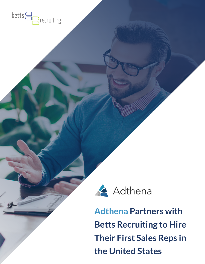



**Adthena Partners with Betts Recruiting to Hire Their First Sales Reps in the United States**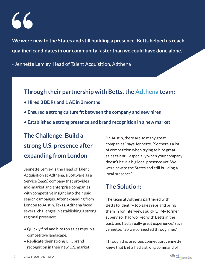**We were new to the States and still building a presence. Betts helped us reach qualified candidates in our community faster than we could have done alone."**

- Jennette Lemley, Head of Talent Acquisition, Adthena

### **Through their partnership with Betts, the Adthena team:**

- **Hired 3 BDRs and 1 AE in 3 months**
- **Ensured a strong culture fit between the company and new hires**
- **Established a strong presence and brand recognition in a new market**

# **The Challenge: Build a strong U.S. presence after expanding from London**

Jennette Lemley is the Head of Talent Acquisition at Adthena, a Software as a Service (SaaS) company that provides mid-market and enterprise companies with competitive insight into their paid search campaigns. After expanding from London to Austin, Texas, Adthena faced several challenges in establishing a strong regional presence:

- Quickly find and hire top sales reps in a competitive landscape.
- Replicate their strong U.K. brand recognition in their new U.S. market.

"In Austin, there are so many great companies," says Jennette. "So there's a lot of competition when trying to hire great sales talent – especially when your company doesn't have a big local presence yet. We were new to the States and still building a local presence."

### **The Solution:**

The team at Adthena partnered with Betts to identify top sales reps and bring them in for interviews quickly. "My former supervisor had worked with Betts in the past, and had a really great experience," says Jennette. "So we connected through her."

Through this previous connection, Jennette knew that Betts had a strong command of